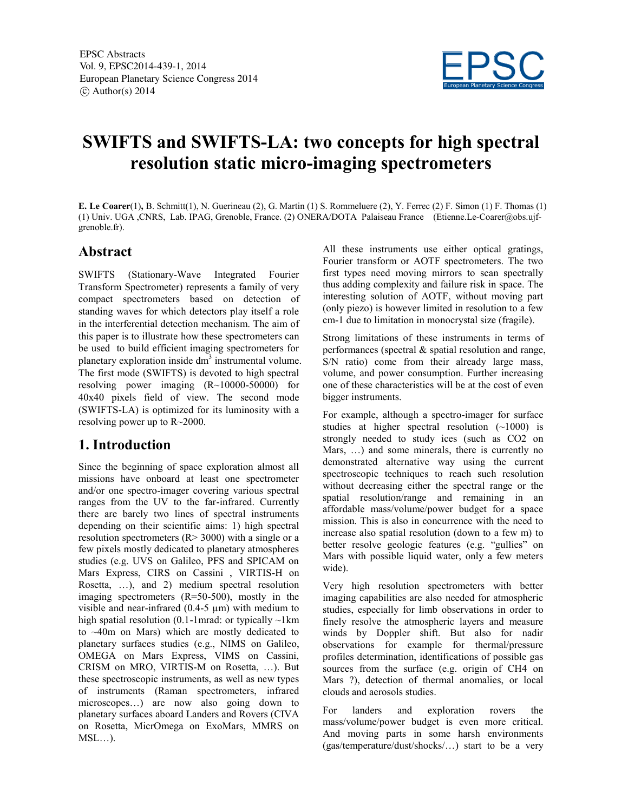

# **SWIFTS and SWIFTS-LA: two concepts for high spectral resolution static micro-imaging spectrometers**

**E. Le Coarer**(1)**,** B. Schmitt(1), N. Guerineau (2), G. Martin (1) S. Rommeluere (2), Y. Ferrec (2) F. Simon (1) F. Thomas (1) (1) Univ. UGA ,CNRS, Lab. IPAG, Grenoble, France. (2) ONERA/DOTA Palaiseau France (Etienne.Le-Coarer@obs.ujfgrenoble.fr).

#### **Abstract**

SWIFTS (Stationary-Wave Integrated Fourier Transform Spectrometer) represents a family of very compact spectrometers based on detection of standing waves for which detectors play itself a role in the interferential detection mechanism. The aim of this paper is to illustrate how these spectrometers can be used to build efficient imaging spectrometers for planetary exploration inside dm<sup>3</sup> instrumental volume. The first mode (SWIFTS) is devoted to high spectral resolving power imaging (R~10000-50000) for 40x40 pixels field of view. The second mode (SWIFTS-LA) is optimized for its luminosity with a resolving power up to R~2000.

### **1. Introduction**

Since the beginning of space exploration almost all missions have onboard at least one spectrometer and/or one spectro-imager covering various spectral ranges from the UV to the far-infrared. Currently there are barely two lines of spectral instruments depending on their scientific aims: 1) high spectral resolution spectrometers  $(R > 3000)$  with a single or a few pixels mostly dedicated to planetary atmospheres studies (e.g. UVS on Galileo, PFS and SPICAM on Mars Express, CIRS on Cassini , VIRTIS-H on Rosetta, …), and 2) medium spectral resolution imaging spectrometers (R=50-500), mostly in the visible and near-infrared  $(0.4-5 \mu m)$  with medium to high spatial resolution (0.1-1mrad: or typically  $\sim$ 1km to ~40m on Mars) which are mostly dedicated to planetary surfaces studies (e.g., NIMS on Galileo, OMEGA on Mars Express, VIMS on Cassini, CRISM on MRO, VIRTIS-M on Rosetta, …). But these spectroscopic instruments, as well as new types of instruments (Raman spectrometers, infrared microscopes…) are now also going down to planetary surfaces aboard Landers and Rovers (CIVA on Rosetta, MicrOmega on ExoMars, MMRS on  $MSL...$ ).

All these instruments use either optical gratings, Fourier transform or AOTF spectrometers. The two first types need moving mirrors to scan spectrally thus adding complexity and failure risk in space. The interesting solution of AOTF, without moving part (only piezo) is however limited in resolution to a few cm-1 due to limitation in monocrystal size (fragile).

Strong limitations of these instruments in terms of performances (spectral & spatial resolution and range, S/N ratio) come from their already large mass, volume, and power consumption. Further increasing one of these characteristics will be at the cost of even bigger instruments.

For example, although a spectro-imager for surface studies at higher spectral resolution (~1000) is strongly needed to study ices (such as CO2 on Mars, …) and some minerals, there is currently no demonstrated alternative way using the current spectroscopic techniques to reach such resolution without decreasing either the spectral range or the spatial resolution/range and remaining in an affordable mass/volume/power budget for a space mission. This is also in concurrence with the need to increase also spatial resolution (down to a few m) to better resolve geologic features (e.g. "gullies" on Mars with possible liquid water, only a few meters wide).

Very high resolution spectrometers with better imaging capabilities are also needed for atmospheric studies, especially for limb observations in order to finely resolve the atmospheric layers and measure winds by Doppler shift. But also for nadir observations for example for thermal/pressure profiles determination, identifications of possible gas sources from the surface (e.g. origin of CH4 on Mars ?), detection of thermal anomalies, or local clouds and aerosols studies.

For landers and exploration rovers the mass/volume/power budget is even more critical. And moving parts in some harsh environments (gas/temperature/dust/shocks/…) start to be a very